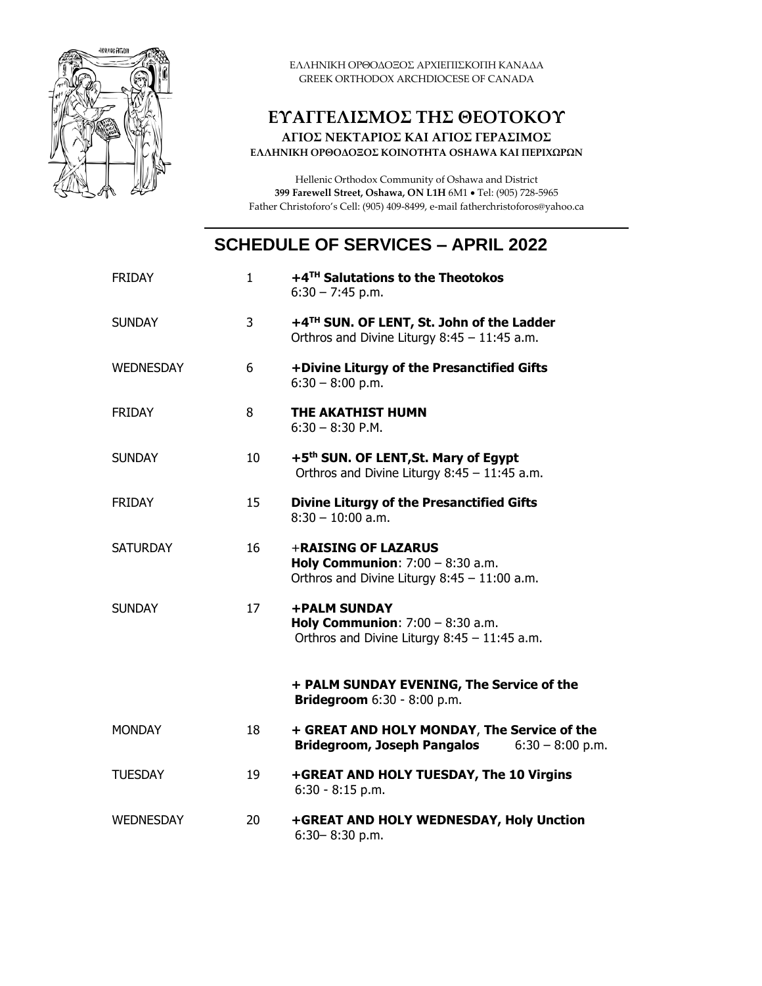

ΕΛΛΗΝΙΚΗ ΟΡΘΟΔΟΞΟΣ ΑΡΧΙΕΠΙΣΚΟΠΗ ΚΑΝΑΔΑ GREEK ORTHODOX ARCHDIOCESE OF CANADA

## **ΕΥΑΓΓΕΛΙΣΜΟΣ ΤΗΣ ΘΕΟΤΟΚΟΥ**

**ΑΓΙΟΣ ΝΕΚΤΑΡΙΟΣ ΚΑΙ ΑΓΙΟΣ ΓΕΡΑΣΙΜΟΣ ΕΛΛΗΝΙΚΗ ΟΡΘΟΔΟΞΟΣ ΚΟΙΝΟΤΗΤΑ OSHAWA ΚΑΙ ΠΕΡΙΧΩΡΩΝ**

Hellenic Orthodox Community of Oshawa and District **399 Farewell Street, Oshawa, ON L1H** 6M1 • Tel: (905) 728-5965 Father Christoforo's Cell: (905) 409-8499, e-mail fatherchristoforos@yahoo.ca

## **SCHEDULE OF SERVICES – APRIL 2022**

| <b>FRIDAY</b>    | $\mathbf{1}$ | +4TH Salutations to the Theotokos<br>$6:30 - 7:45$ p.m.                                                          |
|------------------|--------------|------------------------------------------------------------------------------------------------------------------|
| <b>SUNDAY</b>    | 3            | +4TH SUN. OF LENT, St. John of the Ladder<br>Orthros and Divine Liturgy $8:45 - 11:45$ a.m.                      |
| <b>WEDNESDAY</b> | 6            | +Divine Liturgy of the Presanctified Gifts<br>$6:30 - 8:00$ p.m.                                                 |
| <b>FRIDAY</b>    | 8            | THE AKATHIST HUMN<br>$6:30 - 8:30$ P.M.                                                                          |
| <b>SUNDAY</b>    | 10           | +5 <sup>th</sup> SUN. OF LENT, St. Mary of Egypt<br>Orthros and Divine Liturgy 8:45 - 11:45 a.m.                 |
| <b>FRIDAY</b>    | 15           | <b>Divine Liturgy of the Presanctified Gifts</b><br>$8:30 - 10:00$ a.m.                                          |
| <b>SATURDAY</b>  | 16           | +RAISING OF LAZARUS<br><b>Holy Communion:</b> $7:00 - 8:30$ a.m.<br>Orthros and Divine Liturgy 8:45 - 11:00 a.m. |
| <b>SUNDAY</b>    | 17           | <b>+PALM SUNDAY</b><br><b>Holy Communion:</b> $7:00 - 8:30$ a.m.<br>Orthros and Divine Liturgy 8:45 - 11:45 a.m. |
|                  |              | + PALM SUNDAY EVENING, The Service of the<br>Bridegroom 6:30 - 8:00 p.m.                                         |
| <b>MONDAY</b>    | 18           | + GREAT AND HOLY MONDAY, The Service of the<br><b>Bridegroom, Joseph Pangalos</b><br>$6:30 - 8:00$ p.m.          |
| <b>TUESDAY</b>   | 19           | +GREAT AND HOLY TUESDAY, The 10 Virgins<br>$6:30 - 8:15$ p.m.                                                    |
| <b>WEDNESDAY</b> | 20           | +GREAT AND HOLY WEDNESDAY, Holy Unction<br>6:30-8:30 p.m.                                                        |